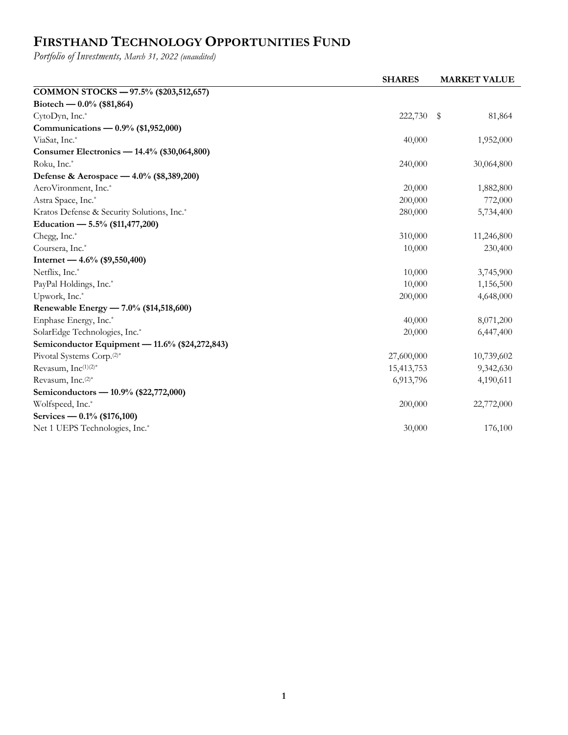## **FIRSTHAND TECHNOLOGY OPPORTUNITIES FUND**

*Portfolio of Investments, March 31, 2022 (unaudited)*

| COMMON STOCKS - 97.5% (\$203,512,657)<br>Biotech — $0.0\%$ (\$81,864)<br>CytoDyn, Inc.*<br>222,730<br>\$ | 81,864  |
|----------------------------------------------------------------------------------------------------------|---------|
|                                                                                                          |         |
|                                                                                                          |         |
|                                                                                                          |         |
| Communications — 0.9% (\$1,952,000)                                                                      |         |
| ViaSat, Inc.*<br>40,000<br>1,952,000                                                                     |         |
| Consumer Electronics — 14.4% (\$30,064,800)                                                              |         |
| Roku, Inc.*<br>240,000<br>30,064,800                                                                     |         |
| Defense & Aerospace — 4.0% (\$8,389,200)                                                                 |         |
| AeroVironment, Inc.*<br>20,000<br>1,882,800                                                              |         |
| Astra Space, Inc.*<br>200,000                                                                            | 772,000 |
| Kratos Defense & Security Solutions, Inc.*<br>280,000<br>5,734,400                                       |         |
| Education — 5.5% (\$11,477,200)                                                                          |         |
| Chegg, Inc.*<br>310,000<br>11,246,800                                                                    |         |
| Coursera, Inc.*<br>10,000                                                                                | 230,400 |
| Internet — $4.6\%$ (\$9,550,400)                                                                         |         |
| Netflix, Inc.*<br>10,000<br>3,745,900                                                                    |         |
| PayPal Holdings, Inc.*<br>10,000<br>1,156,500                                                            |         |
| Upwork, Inc.*<br>200,000<br>4,648,000                                                                    |         |
| Renewable Energy — 7.0% (\$14,518,600)                                                                   |         |
| Enphase Energy, Inc.*<br>40,000<br>8,071,200                                                             |         |
| SolarEdge Technologies, Inc.*<br>20,000<br>6,447,400                                                     |         |
| Semiconductor Equipment - 11.6% (\$24,272,843)                                                           |         |
| Pivotal Systems Corp. <sup>(2)*</sup><br>27,600,000<br>10,739,602                                        |         |
| Revasum, Inc(1)(2)*<br>15,413,753<br>9,342,630                                                           |         |
| Revasum, Inc. <sup>(2)*</sup><br>6,913,796<br>4,190,611                                                  |         |
| Semiconductors - 10.9% (\$22,772,000)                                                                    |         |
| Wolfspeed, Inc.*<br>200,000<br>22,772,000                                                                |         |
| Services — $0.1\%$ (\$176,100)                                                                           |         |
| Net 1 UEPS Technologies, Inc.*<br>30,000                                                                 | 176,100 |